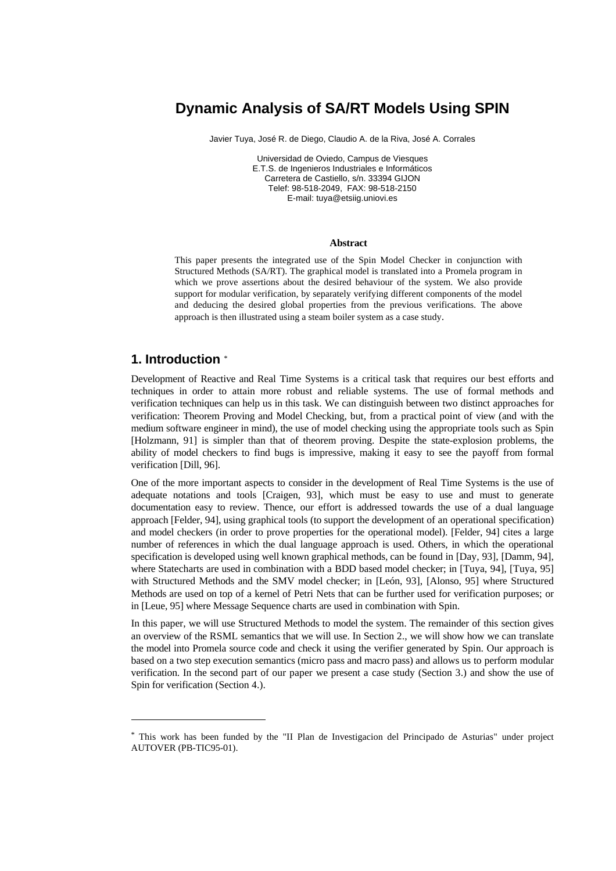# **Dynamic Analysis of SA/RT Models Using SPIN**

Javier Tuya, José R. de Diego, Claudio A. de la Riva, José A. Corrales

Universidad de Oviedo, Campus de Viesques E.T.S. de Ingenieros Industriales e Informáticos Carretera de Castiello, s/n. 33394 GIJON Telef: 98-518-2049, FAX: 98-518-2150 E-mail: tuya@etsiig.uniovi.es

#### **Abstract**

This paper presents the integrated use of the Spin Model Checker in conjunction with Structured Methods (SA/RT). The graphical model is translated into a Promela program in which we prove assertions about the desired behaviour of the system. We also provide support for modular verification, by separately verifying different components of the model and deducing the desired global properties from the previous verifications. The above approach is then illustrated using a steam boiler system as a case study.

# **1. Introduction** \*

-

Development of Reactive and Real Time Systems is a critical task that requires our best efforts and techniques in order to attain more robust and reliable systems. The use of formal methods and verification techniques can help us in this task. We can distinguish between two distinct approaches for verification: Theorem Proving and Model Checking, but, from a practical point of view (and with the medium software engineer in mind), the use of model checking using the appropriate tools such as Spin [Holzmann, 91] is simpler than that of theorem proving. Despite the state-explosion problems, the ability of model checkers to find bugs is impressive, making it easy to see the payoff from formal verification [Dill, 96].

One of the more important aspects to consider in the development of Real Time Systems is the use of adequate notations and tools [Craigen, 93], which must be easy to use and must to generate documentation easy to review. Thence, our effort is addressed towards the use of a dual language approach [Felder, 94], using graphical tools (to support the development of an operational specification) and model checkers (in order to prove properties for the operational model). [Felder, 94] cites a large number of references in which the dual language approach is used. Others, in which the operational specification is developed using well known graphical methods, can be found in [Day, 93], [Damm, 94], where Statecharts are used in combination with a BDD based model checker; in [Tuya, 94], [Tuya, 95] with Structured Methods and the SMV model checker; in [León, 93], [Alonso, 95] where Structured Methods are used on top of a kernel of Petri Nets that can be further used for verification purposes; or in [Leue, 95] where Message Sequence charts are used in combination with Spin.

In this paper, we will use Structured Methods to model the system. The remainder of this section gives an overview of the RSML semantics that we will use. In Section 2., we will show how we can translate the model into Promela source code and check it using the verifier generated by Spin. Our approach is based on a two step execution semantics (micro pass and macro pass) and allows us to perform modular verification. In the second part of our paper we present a case study (Section 3.) and show the use of Spin for verification (Section 4.).

<sup>\*</sup> This work has been funded by the "II Plan de Investigacion del Principado de Asturias" under project AUTOVER (PB-TIC95-01).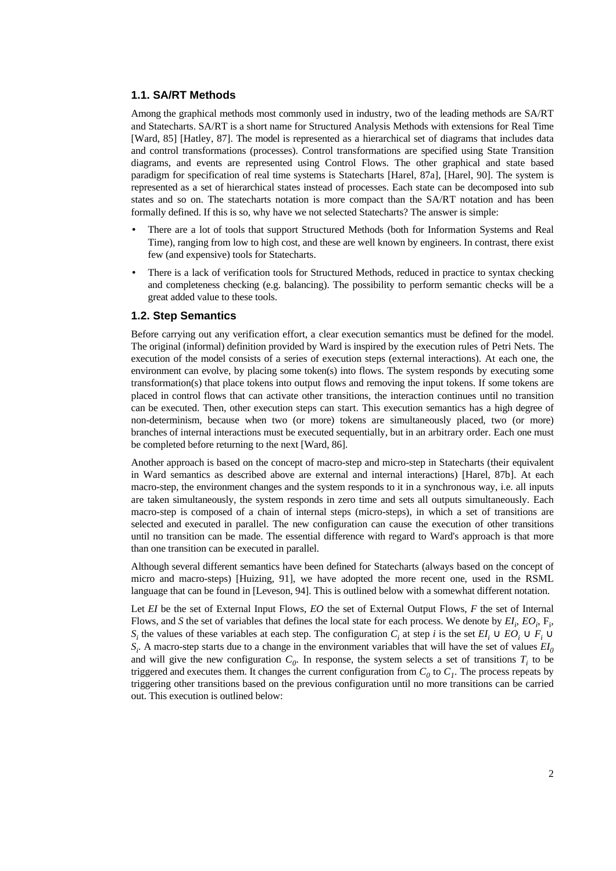# **1.1. SA/RT Methods**

Among the graphical methods most commonly used in industry, two of the leading methods are SA/RT and Statecharts. SA/RT is a short name for Structured Analysis Methods with extensions for Real Time [Ward, 85] [Hatley, 87]. The model is represented as a hierarchical set of diagrams that includes data and control transformations (processes). Control transformations are specified using State Transition diagrams, and events are represented using Control Flows. The other graphical and state based paradigm for specification of real time systems is Statecharts [Harel, 87a], [Harel, 90]. The system is represented as a set of hierarchical states instead of processes. Each state can be decomposed into sub states and so on. The statecharts notation is more compact than the SA/RT notation and has been formally defined. If this is so, why have we not selected Statecharts? The answer is simple:

- There are a lot of tools that support Structured Methods (both for Information Systems and Real Time), ranging from low to high cost, and these are well known by engineers. In contrast, there exist few (and expensive) tools for Statecharts.
- There is a lack of verification tools for Structured Methods, reduced in practice to syntax checking and completeness checking (e.g. balancing). The possibility to perform semantic checks will be a great added value to these tools.

### **1.2. Step Semantics**

Before carrying out any verification effort, a clear execution semantics must be defined for the model. The original (informal) definition provided by Ward is inspired by the execution rules of Petri Nets. The execution of the model consists of a series of execution steps (external interactions). At each one, the environment can evolve, by placing some token(s) into flows. The system responds by executing some transformation(s) that place tokens into output flows and removing the input tokens. If some tokens are placed in control flows that can activate other transitions, the interaction continues until no transition can be executed. Then, other execution steps can start. This execution semantics has a high degree of non-determinism, because when two (or more) tokens are simultaneously placed, two (or more) branches of internal interactions must be executed sequentially, but in an arbitrary order. Each one must be completed before returning to the next [Ward, 86].

Another approach is based on the concept of macro-step and micro-step in Statecharts (their equivalent in Ward semantics as described above are external and internal interactions) [Harel, 87b]. At each macro-step, the environment changes and the system responds to it in a synchronous way, i.e. all inputs are taken simultaneously, the system responds in zero time and sets all outputs simultaneously. Each macro-step is composed of a chain of internal steps (micro-steps), in which a set of transitions are selected and executed in parallel. The new configuration can cause the execution of other transitions until no transition can be made. The essential difference with regard to Ward's approach is that more than one transition can be executed in parallel.

Although several different semantics have been defined for Statecharts (always based on the concept of micro and macro-steps) [Huizing, 91], we have adopted the more recent one, used in the RSML language that can be found in [Leveson, 94]. This is outlined below with a somewhat different notation.

Let *EI* be the set of External Input Flows, *EO* the set of External Output Flows, *F* the set of Internal Flows, and *S* the set of variables that defines the local state for each process. We denote by  $EI_i$ ,  $EO_i$ ,  $F_i$ , *S<sub>i</sub>* the values of these variables at each step. The configuration *C<sub>i</sub>* at step *i* is the set  $EI_i \cup EO_i \cup F_i \cup$  $S_i$ . A macro-step starts due to a change in the environment variables that will have the set of values  $EI_0$ and will give the new configuration  $C_0$ . In response, the system selects a set of transitions  $T_i$  to be triggered and executes them. It changes the current configuration from  $C_0$  to  $C_1$ . The process repeats by triggering other transitions based on the previous configuration until no more transitions can be carried out. This execution is outlined below: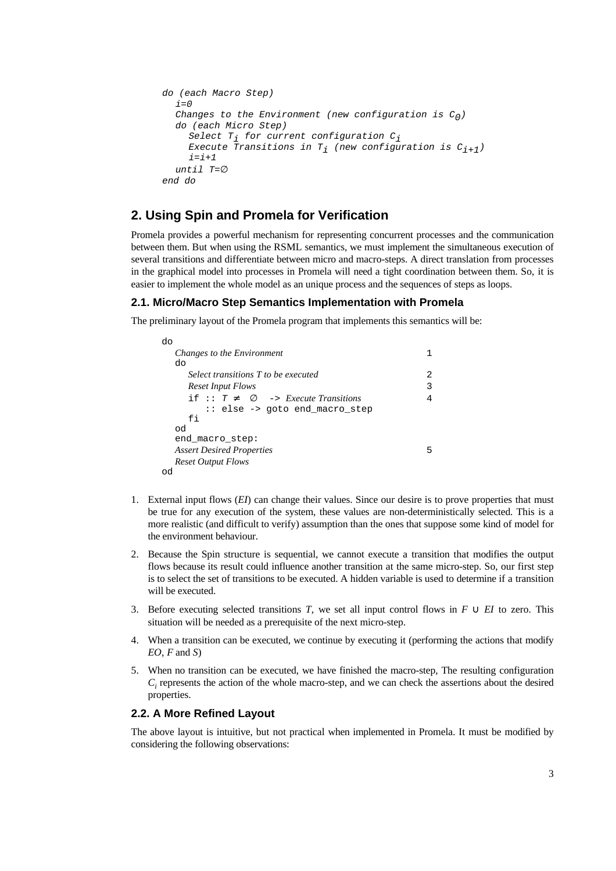```
do (each Macro Step)
  i=0Changes to the Environment (new configuration is C_0)
  do (each Micro Step)
    Select T_i for current configuration C_iExecute Transitions in T<sub>i</sub> (new configuration is C_{i+1})
     i=i+1until T=∅
end do
```
# **2. Using Spin and Promela for Verification**

Promela provides a powerful mechanism for representing concurrent processes and the communication between them. But when using the RSML semantics, we must implement the simultaneous execution of several transitions and differentiate between micro and macro-steps. A direct translation from processes in the graphical model into processes in Promela will need a tight coordination between them. So, it is easier to implement the whole model as an unique process and the sequences of steps as loops.

# **2.1. Micro/Macro Step Semantics Implementation with Promela**

The preliminary layout of the Promela program that implements this semantics will be:

| do                                              |   |
|-------------------------------------------------|---|
| Changes to the Environment                      |   |
| do                                              |   |
| Select transitions T to be executed             | 2 |
| <b>Reset Input Flows</b>                        |   |
| if :: $T \neq \emptyset$ -> Execute Transitions | 4 |
| :: else -> goto end macro step                  |   |
| fi                                              |   |
| od                                              |   |
| end macro step:                                 |   |
| <b>Assert Desired Properties</b>                | 5 |
| <b>Reset Output Flows</b>                       |   |
|                                                 |   |

- 1. External input flows (*EI*) can change their values. Since our desire is to prove properties that must be true for any execution of the system, these values are non-deterministically selected. This is a more realistic (and difficult to verify) assumption than the ones that suppose some kind of model for the environment behaviour.
- 2. Because the Spin structure is sequential, we cannot execute a transition that modifies the output flows because its result could influence another transition at the same micro-step. So, our first step is to select the set of transitions to be executed. A hidden variable is used to determine if a transition will be executed.
- 3. Before executing selected transitions *T*, we set all input control flows in *F* ∪ *EI* to zero. This situation will be needed as a prerequisite of the next micro-step.
- 4. When a transition can be executed, we continue by executing it (performing the actions that modify *EO*, *F* and *S*)
- 5. When no transition can be executed, we have finished the macro-step, The resulting configuration  $C<sub>i</sub>$  represents the action of the whole macro-step, and we can check the assertions about the desired properties.

## **2.2. A More Refined Layout**

The above layout is intuitive, but not practical when implemented in Promela. It must be modified by considering the following observations: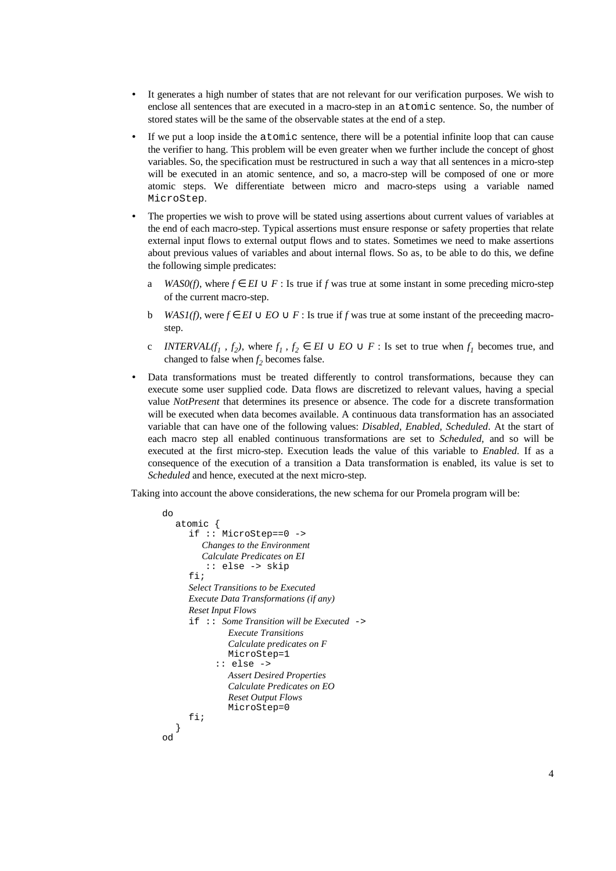- It generates a high number of states that are not relevant for our verification purposes. We wish to enclose all sentences that are executed in a macro-step in an atomic sentence. So, the number of stored states will be the same of the observable states at the end of a step.
- If we put a loop inside the atomic sentence, there will be a potential infinite loop that can cause the verifier to hang. This problem will be even greater when we further include the concept of ghost variables. So, the specification must be restructured in such a way that all sentences in a micro-step will be executed in an atomic sentence, and so, a macro-step will be composed of one or more atomic steps. We differentiate between micro and macro-steps using a variable named MicroStep.
- The properties we wish to prove will be stated using assertions about current values of variables at the end of each macro-step. Typical assertions must ensure response or safety properties that relate external input flows to external output flows and to states. Sometimes we need to make assertions about previous values of variables and about internal flows. So as, to be able to do this, we define the following simple predicates:
	- a *WAS0(f)*, where  $f \in EI \cup F$ : Is true if *f* was true at some instant in some preceding micro-step of the current macro-step.
	- b *WAS1(f)*, were *f* ∈ *EI* ∪ *EO* ∪ *F* : Is true if *f* was true at some instant of the preceeding macrostep.
	- c *INTERVAL(f<sub>1</sub></sub>, f<sub>2</sub>)*, where  $f_1$ ,  $f_2 \in EI \cup EO \cup F$ : Is set to true when  $f_1$  becomes true, and changed to false when  $f<sub>2</sub>$  becomes false.
- Data transformations must be treated differently to control transformations, because they can execute some user supplied code. Data flows are discretized to relevant values, having a special value *NotPresent* that determines its presence or absence. The code for a discrete transformation will be executed when data becomes available. A continuous data transformation has an associated variable that can have one of the following values: *Disabled*, *Enabled*, *Scheduled*. At the start of each macro step all enabled continuous transformations are set to *Scheduled*, and so will be executed at the first micro-step. Execution leads the value of this variable to *Enabled*. If as a consequence of the execution of a transition a Data transformation is enabled, its value is set to *Scheduled* and hence, executed at the next micro-step.

Taking into account the above considerations, the new schema for our Promela program will be:

```
do
   atomic {
      if :: MicroStep==0 ->
         Changes to the Environment
         Calculate Predicates on EI
           :: else -> skip
      f: fSelect Transitions to be Executed
      Execute Data Transformations (if any)
      Reset Input Flows
      if :: Some Transition will be Executed ->
               Execute Transitions
               Calculate predicates on F
               MicroStep=1
            :: else ->
               Assert Desired Properties
               Calculate Predicates on EO
               Reset Output Flows
               MicroStep=0
      fi;
   }
od
```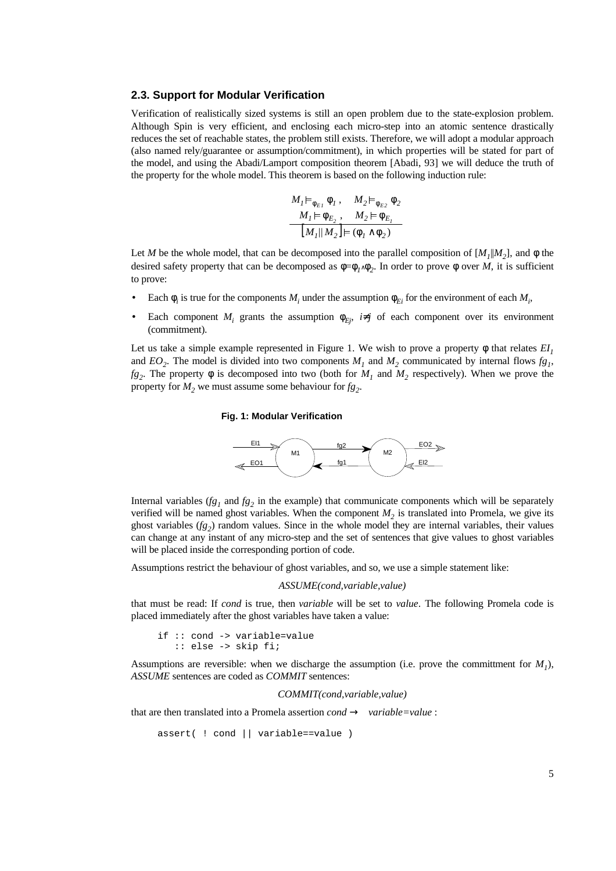### **2.3. Support for Modular Verification**

Verification of realistically sized systems is still an open problem due to the state-explosion problem. Although Spin is very efficient, and enclosing each micro-step into an atomic sentence drastically reduces the set of reachable states, the problem still exists. Therefore, we will adopt a modular approach (also named rely/guarantee or assumption/commitment), in which properties will be stated for part of the model, and using the Abadi/Lamport composition theorem [Abadi, 93] we will deduce the truth of the property for the whole model. This theorem is based on the following induction rule:

$$
M_I \vDash_{\phi_{E_1}} \phi_I, \quad M_2 \vDash_{\phi_{E_2}} \phi_2
$$

$$
M_I \vDash \phi_{E_2}, \quad M_2 \vDash \phi_{E_I}
$$

$$
M_I || M_2 \vDash (\phi_I \wedge \phi_2)
$$

Let *M* be the whole model, that can be decomposed into the parallel composition of  $[M_1|M_2]$ , and  $\phi$  the desired safety property that can be decomposed as  $\phi = \phi_1 \wedge \phi_2$ . In order to prove  $\phi$  over *M*, it is sufficient to prove:

- Each  $\phi_i$  is true for the components  $M_i$  under the assumption  $\phi_{E_i}$  for the environment of each  $M_i$
- Each component  $M_i$  grants the assumption  $\phi_{Ej}$ ,  $i \neq j$  of each component over its environment (commitment).

Let us take a simple example represented in Figure 1. We wish to prove a property  $\phi$  that relates  $EI<sub>1</sub>$ and  $EO_2$ . The model is divided into two components  $M_1$  and  $M_2$  communicated by internal flows  $fg_1$ ,  $fg_2$ . The property  $\phi$  is decomposed into two (both for  $M_1$  and  $M_2$  respectively). When we prove the property for  $M_2$  we must assume some behaviour for  $fg_2$ .

#### **Fig. 1: Modular Verification**



Internal variables ( $fg_1$  and  $fg_2$  in the example) that communicate components which will be separately verified will be named ghost variables. When the component  $M_2$  is translated into Promela, we give its ghost variables  $(fg_2)$  random values. Since in the whole model they are internal variables, their values can change at any instant of any micro-step and the set of sentences that give values to ghost variables will be placed inside the corresponding portion of code.

Assumptions restrict the behaviour of ghost variables, and so, we use a simple statement like:

#### *ASSUME(cond,variable,value)*

that must be read: If *cond* is true, then *variable* will be set to *value*. The following Promela code is placed immediately after the ghost variables have taken a value:

```
if :: cond -> variable=value
    :: else -> skip fi;
```
Assumptions are reversible: when we discharge the assumption (i.e. prove the committment for  $M_1$ ), *ASSUME* sentences are coded as *COMMIT* sentences:

*COMMIT(cond,variable,value)*

that are then translated into a Promela assertion *cond* → *variable=value* :

```
assert( ! cond || variable==value )
```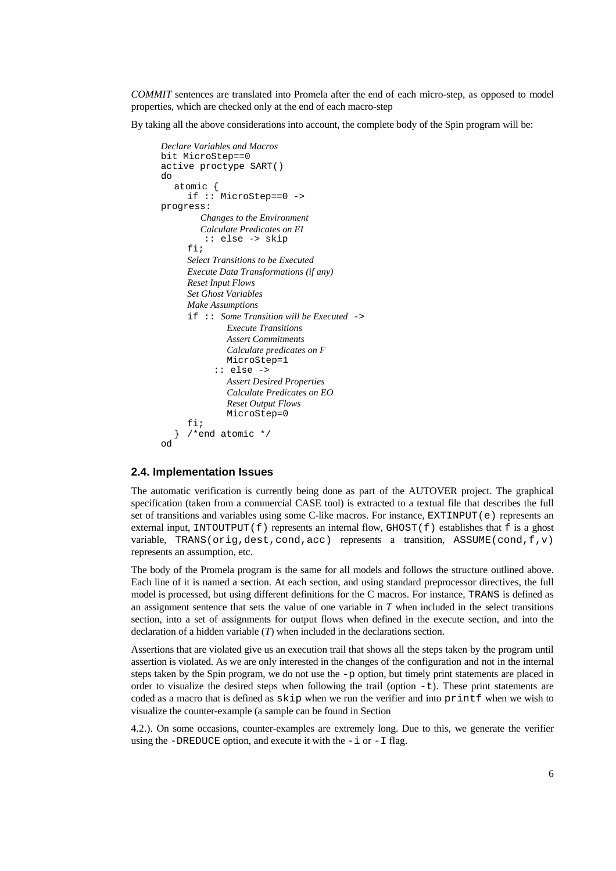*COMMIT* sentences are translated into Promela after the end of each micro-step, as opposed to model properties, which are checked only at the end of each macro-step

By taking all the above considerations into account, the complete body of the Spin program will be:

```
Declare Variables and Macros
bit MicroStep==0
active proctype SART()
do
   atomic {
     if :: MicroStep==0 ->
progress:
         Changes to the Environment
         Calculate Predicates on EI
          :: else -> skip
      fi;
      Select Transitions to be Executed
      Execute Data Transformations (if any)
      Reset Input Flows
      Set Ghost Variables
      Make Assumptions
      if :: Some Transition will be Executed ->
               Execute Transitions
               Assert Commitments
               Calculate predicates on F
               MicroStep=1
            :: else ->
               Assert Desired Properties
               Calculate Predicates on EO
               Reset Output Flows
               MicroStep=0
      fi;
     /*end atomic */
od
```
## **2.4. Implementation Issues**

The automatic verification is currently being done as part of the AUTOVER project. The graphical specification (taken from a commercial CASE tool) is extracted to a textual file that describes the full set of transitions and variables using some C-like macros. For instance,  $EXTIMEUT(e)$  represents an external input, INTOUTPUT(f) represents an internal flow, GHOST(f) establishes that f is a ghost variable, TRANS(orig, dest, cond, acc) represents a transition, ASSUME(cond,  $f, v$ ) represents an assumption, etc.

The body of the Promela program is the same for all models and follows the structure outlined above. Each line of it is named a section. At each section, and using standard preprocessor directives, the full model is processed, but using different definitions for the C macros. For instance, TRANS is defined as an assignment sentence that sets the value of one variable in *T* when included in the select transitions section, into a set of assignments for output flows when defined in the execute section, and into the declaration of a hidden variable (*T*) when included in the declarations section.

Assertions that are violated give us an execution trail that shows all the steps taken by the program until assertion is violated. As we are only interested in the changes of the configuration and not in the internal steps taken by the Spin program, we do not use the  $-p$  option, but timely print statements are placed in order to visualize the desired steps when following the trail (option  $-t$ ). These print statements are coded as a macro that is defined as skip when we run the verifier and into printf when we wish to visualize the counter-example (a sample can be found in Section

4.2.). On some occasions, counter-examples are extremely long. Due to this, we generate the verifier using the -DREDUCE option, and execute it with the  $-i$  or  $-i$  flag.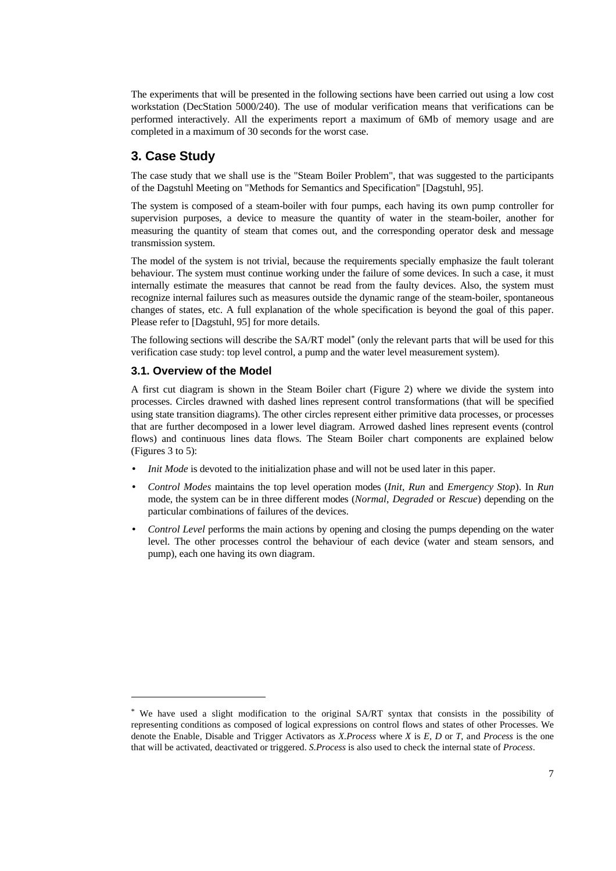The experiments that will be presented in the following sections have been carried out using a low cost workstation (DecStation 5000/240). The use of modular verification means that verifications can be performed interactively. All the experiments report a maximum of 6Mb of memory usage and are completed in a maximum of 30 seconds for the worst case.

# **3. Case Study**

The case study that we shall use is the "Steam Boiler Problem", that was suggested to the participants of the Dagstuhl Meeting on "Methods for Semantics and Specification" [Dagstuhl, 95].

The system is composed of a steam-boiler with four pumps, each having its own pump controller for supervision purposes, a device to measure the quantity of water in the steam-boiler, another for measuring the quantity of steam that comes out, and the corresponding operator desk and message transmission system.

The model of the system is not trivial, because the requirements specially emphasize the fault tolerant behaviour. The system must continue working under the failure of some devices. In such a case, it must internally estimate the measures that cannot be read from the faulty devices. Also, the system must recognize internal failures such as measures outside the dynamic range of the steam-boiler, spontaneous changes of states, etc. A full explanation of the whole specification is beyond the goal of this paper. Please refer to [Dagstuhl, 95] for more details.

The following sections will describe the SA/RT model\* (only the relevant parts that will be used for this verification case study: top level control, a pump and the water level measurement system).

# **3.1. Overview of the Model**

-

A first cut diagram is shown in the Steam Boiler chart (Figure 2) where we divide the system into processes. Circles drawned with dashed lines represent control transformations (that will be specified using state transition diagrams). The other circles represent either primitive data processes, or processes that are further decomposed in a lower level diagram. Arrowed dashed lines represent events (control flows) and continuous lines data flows. The Steam Boiler chart components are explained below (Figures 3 to 5):

- *Init Mode* is devoted to the initialization phase and will not be used later in this paper.
- *Control Modes* maintains the top level operation modes (*Init*, *Run* and *Emergency Stop*). In *Run* mode, the system can be in three different modes (*Normal*, *Degraded* or *Rescue*) depending on the particular combinations of failures of the devices.
- *Control Level* performs the main actions by opening and closing the pumps depending on the water level. The other processes control the behaviour of each device (water and steam sensors, and pump), each one having its own diagram.

<sup>\*</sup> We have used a slight modification to the original SA/RT syntax that consists in the possibility of representing conditions as composed of logical expressions on control flows and states of other Processes. We denote the Enable, Disable and Trigger Activators as *X.Process* where *X* is *E*, *D* or *T*, and *Process* is the one that will be activated, deactivated or triggered. *S.Process* is also used to check the internal state of *Process*.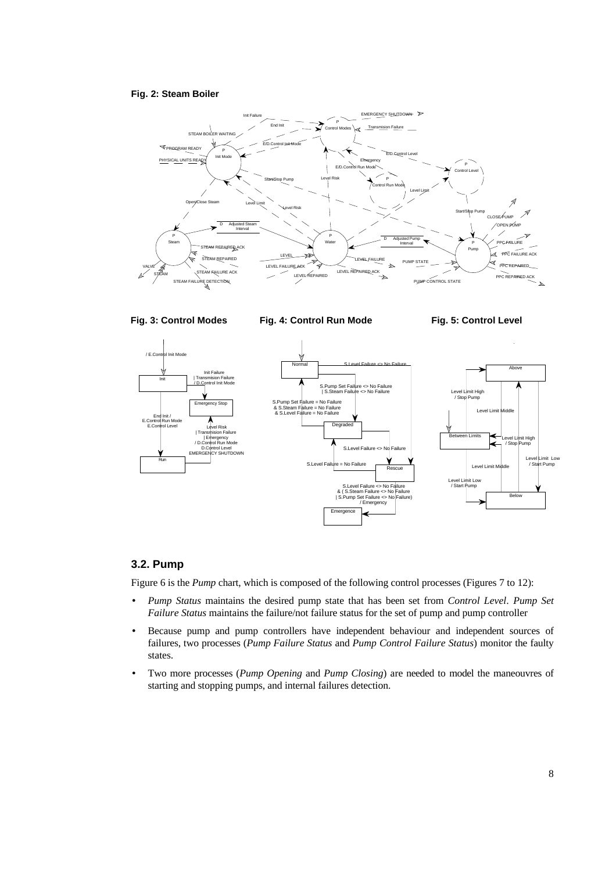### **Fig. 2: Steam Boiler**



#### **Fig. 3: Control Modes**

**Fig. 4: Control Run Mode**

**Fig. 5: Control Level**



# **3.2. Pump**

Figure 6 is the *Pump* chart, which is composed of the following control processes (Figures 7 to 12):

- *Pump Status* maintains the desired pump state that has been set from *Control Level*. *Pump Set Failure Status* maintains the failure/not failure status for the set of pump and pump controller
- Because pump and pump controllers have independent behaviour and independent sources of failures, two processes (*Pump Failure Status* and *Pump Control Failure Status*) monitor the faulty states.
- Two more processes (*Pump Opening* and *Pump Closing*) are needed to model the maneouvres of starting and stopping pumps, and internal failures detection.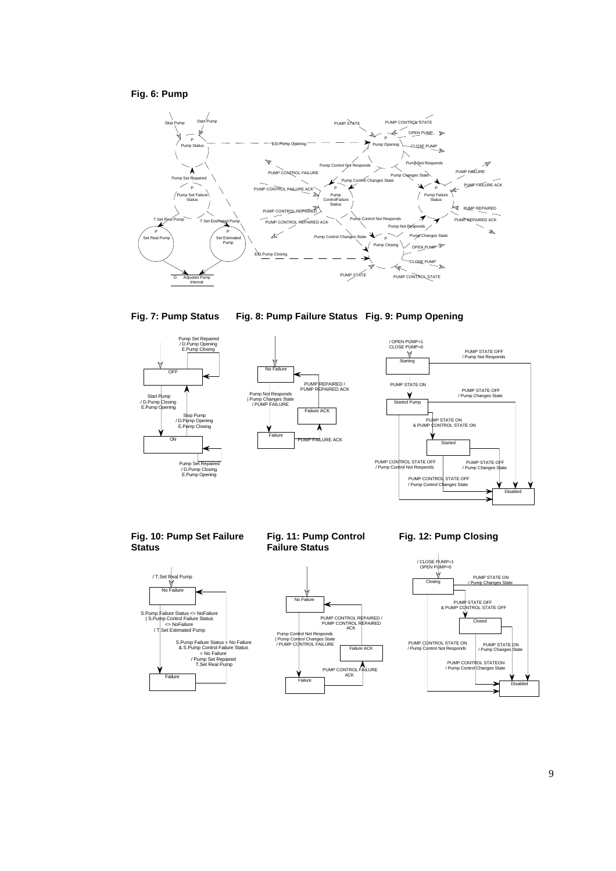## **Fig. 6: Pump**





**Fig. 8: Pump Failure Status Fig. 9: Pump Opening**







**Fig. 10: Pump Set Failure Status**



**Fig. 11: Pump Control Failure Status**



**Fig. 12: Pump Closing**

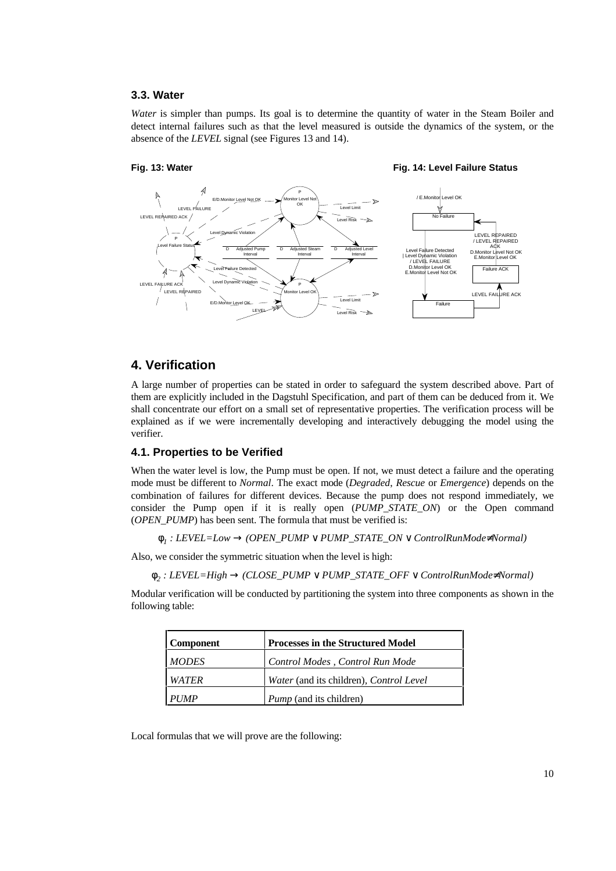### **3.3. Water**

*Water* is simpler than pumps. Its goal is to determine the quantity of water in the Steam Boiler and detect internal failures such as that the level measured is outside the dynamics of the system, or the absence of the *LEVEL* signal (see Figures 13 and 14).

# **Fig. 13: Water**

**Fig. 14: Level Failure Status**



# **4. Verification**

A large number of properties can be stated in order to safeguard the system described above. Part of them are explicitly included in the Dagstuhl Specification, and part of them can be deduced from it. We shall concentrate our effort on a small set of representative properties. The verification process will be explained as if we were incrementally developing and interactively debugging the model using the verifier.

### **4.1. Properties to be Verified**

When the water level is low, the Pump must be open. If not, we must detect a failure and the operating mode must be different to *Normal*. The exact mode (*Degraded*, *Rescue* or *Emergence*) depends on the combination of failures for different devices. Because the pump does not respond immediately, we consider the Pump open if it is really open (*PUMP\_STATE\_ON*) or the Open command (*OPEN\_PUMP*) has been sent. The formula that must be verified is:

```
φ1 : LEVEL=Low → (OPEN_PUMP ∨ PUMP_STATE_ON ∨ ControlRunMode≠Normal)
```
Also, we consider the symmetric situation when the level is high:

φ*<sup>2</sup> : LEVEL=High* → *(CLOSE\_PUMP* ∨ *PUMP\_STATE\_OFF* ∨ *ControlRunMode*≠*Normal)*

Modular verification will be conducted by partitioning the system into three components as shown in the following table:

| <b>Component</b> | <b>Processes in the Structured Model</b> |
|------------------|------------------------------------------|
| <b>MODES</b>     | Control Modes, Control Run Mode          |
| <b>WATER</b>     | Water (and its children), Control Level  |
| <b>PUMP</b>      | <i>Pump</i> (and its children)           |

Local formulas that we will prove are the following: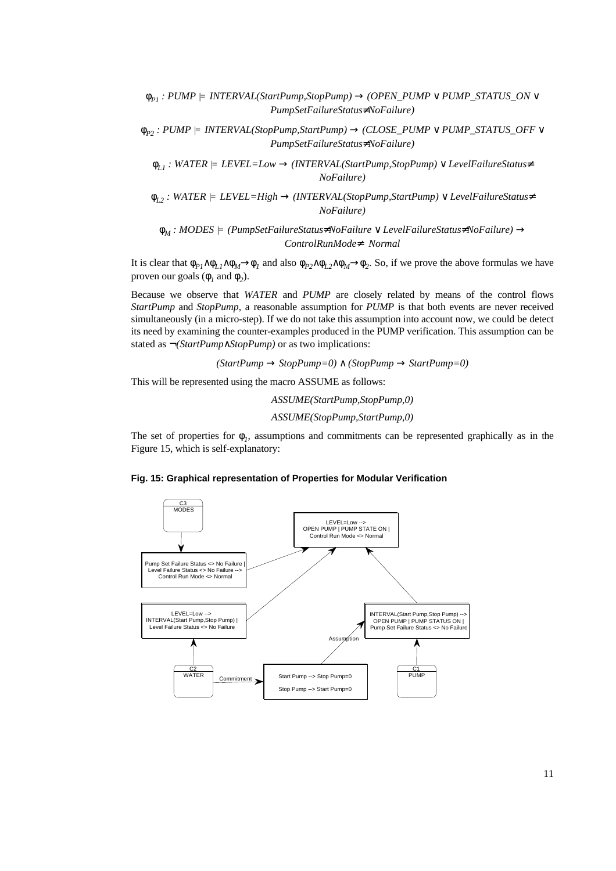φ*P1 : PUMP* |= *INTERVAL(StartPump,StopPump)* → *(OPEN\_PUMP* ∨ *PUMP\_STATUS\_ON* ∨ *PumpSetFailureStatus*≠*NoFailure)*

φ*P2 : PUMP* |= *INTERVAL(StopPump,StartPump)* → *(CLOSE\_PUMP* ∨ *PUMP\_STATUS\_OFF* ∨ *PumpSetFailureStatus*≠*NoFailure)*

φ*L1 : WATER* |= *LEVEL=Low* → *(INTERVAL(StartPump,StopPump)* ∨ *LevelFailureStatus*≠ *NoFailure)*

φ*L2 : WATER* |= *LEVEL=High* → *(INTERVAL(StopPump,StartPump)* ∨ *LevelFailureStatus*≠ *NoFailure)*

φ*M : MODES* |= *(PumpSetFailureStatus*≠*NoFailure* ∨ *LevelFailureStatus*≠*NoFailure)* → *ControlRunMode*≠ *Normal*

It is clear that  $\phi_{P1} \wedge \phi_{L1} \wedge \phi_M \rightarrow \phi_I$  and also  $\phi_{P2} \wedge \phi_{L2} \wedge \phi_M \rightarrow \phi_2$ . So, if we prove the above formulas we have proven our goals ( $\phi_1$  and  $\phi_2$ ).

Because we observe that *WATER* and *PUMP* are closely related by means of the control flows *StartPump* and *StopPump*, a reasonable assumption for *PUMP* is that both events are never received simultaneously (in a micro-step). If we do not take this assumption into account now, we could be detect its need by examining the counter-examples produced in the PUMP verification. This assumption can be stated as ¬*(StartPump*∧*StopPump)* or as two implications:

 $(StartPump \rightarrow StopPump=0) \land (StopPump \rightarrow StartPump=0)$ 

This will be represented using the macro ASSUME as follows:

*ASSUME(StartPump,StopPump,0)*

*ASSUME(StopPump,StartPump,0)*

The set of properties for  $\phi_i$ , assumptions and commitments can be represented graphically as in the Figure 15, which is self-explanatory:

**Fig. 15: Graphical representation of Properties for Modular Verification**

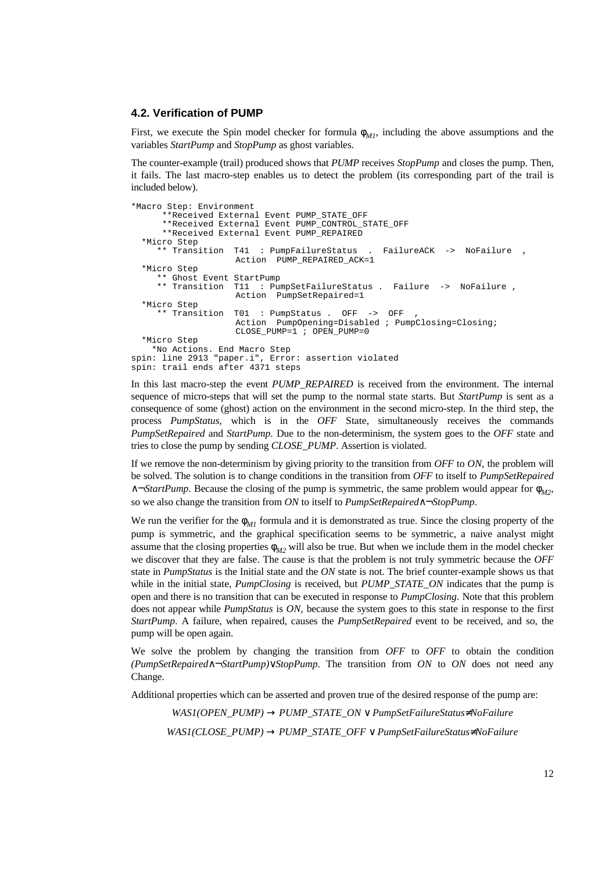#### **4.2. Verification of PUMP**

First, we execute the Spin model checker for formula  $\phi_{M1}$ , including the above assumptions and the variables *StartPump* and *StopPump* as ghost variables.

The counter-example (trail) produced shows that *PUMP* receives *StopPump* and closes the pump. Then, it fails. The last macro-step enables us to detect the problem (its corresponding part of the trail is included below).

```
*Macro Step: Environment
       **Received External Event PUMP_STATE_OFF
       **Received External Event PUMP_CONTROL_STATE_OFF
       **Received External Event PUMP_REPAIRED
  *Micro Step
      ** Transition T41 : PumpFailureStatus . FailureACK -> NoFailure ,
                     Action PUMP_REPAIRED_ACK=1
  *Micro Step
      ** Ghost Event StartPump
      ** Transition T11 : PumpSetFailureStatus . Failure -> NoFailure ,
                     Action PumpSetRepaired=1
  *Micro Step
     ** Transition T01 : PumpStatus . OFF -> OFF
                     Action PumpOpening=Disabled ; PumpClosing=Closing;
                    CLOSE PUMP=1 ; OPEN PUMP=0
  *Micro Step
 *No Actions. End Macro Step
spin: line 2913 "paper.i", Error: assertion violated
spin: trail ends after 4371 steps
```
In this last macro-step the event *PUMP\_REPAIRED* is received from the environment. The internal sequence of micro-steps that will set the pump to the normal state starts. But *StartPump* is sent as a consequence of some (ghost) action on the environment in the second micro-step. In the third step, the process *PumpStatus*, which is in the *OFF* State, simultaneously receives the commands *PumpSetRepaired* and *StartPump*. Due to the non-determinism, the system goes to the *OFF* state and tries to close the pump by sending *CLOSE\_PUMP*. Assertion is violated.

If we remove the non-determinism by giving priority to the transition from *OFF* to *ON*, the problem will be solved. The solution is to change conditions in the transition from *OFF* to itself to *PumpSetRepaired* ∧¬*StartPump*. Because the closing of the pump is symmetric, the same problem would appear for φ*M2*, so we also change the transition from *ON* to itself to *PumpSetRepaired*∧¬*StopPump*.

We run the verifier for the  $\phi_{MI}$  formula and it is demonstrated as true. Since the closing property of the pump is symmetric, and the graphical specification seems to be symmetric, a naive analyst might assume that the closing properties  $\phi_{M2}$  will also be true. But when we include them in the model checker we discover that they are false. The cause is that the problem is not truly symmetric because the *OFF* state in *PumpStatus* is the Initial state and the *ON* state is not. The brief counter-example shows us that while in the initial state, *PumpClosing* is received, but *PUMP\_STATE\_ON* indicates that the pump is open and there is no transition that can be executed in response to *PumpClosing*. Note that this problem does not appear while *PumpStatus* is *ON*, because the system goes to this state in response to the first *StartPump*. A failure, when repaired, causes the *PumpSetRepaired* event to be received, and so, the pump will be open again.

We solve the problem by changing the transition from *OFF* to *OFF* to obtain the condition *(PumpSetRepaired*∧¬*StartPump)*∨*StopPump*. The transition from *ON* to *ON* does not need any Change.

Additional properties which can be asserted and proven true of the desired response of the pump are:

*WAS1(OPEN\_PUMP)* → *PUMP\_STATE\_ON* ∨ *PumpSetFailureStatus*≠*NoFailure WAS1(CLOSE\_PUMP)* → *PUMP\_STATE\_OFF* ∨ *PumpSetFailureStatus*≠*NoFailure*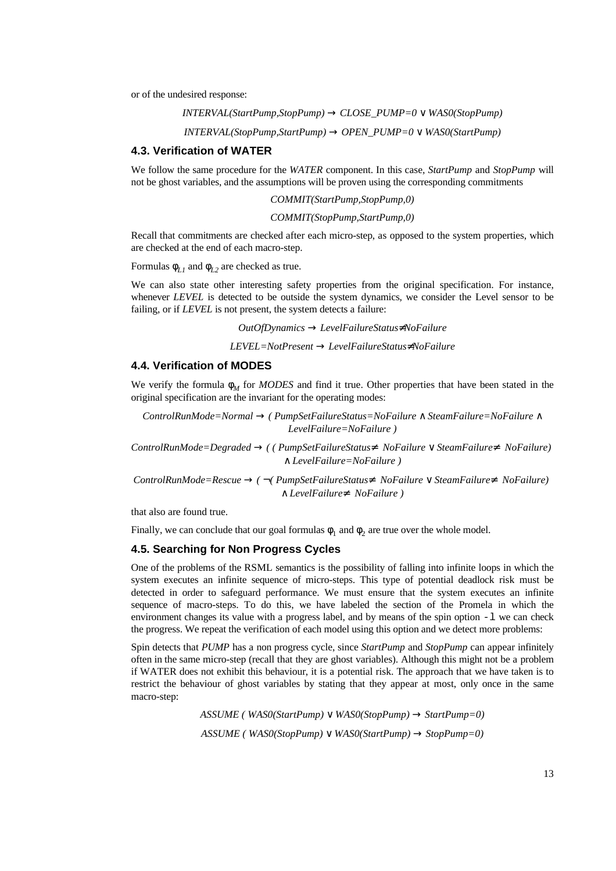or of the undesired response:

 $INTERVAL (Start Pump, Stop Pump) \rightarrow CLOSE$  $PUMP=0 \vee WAS0 (Stop Pump)$  $INIERVAL (StopPump, StartPump) \rightarrow OPEN$  $PUMP=0 \vee$  WAS0(StartPump)

#### **4.3. Verification of WATER**

We follow the same procedure for the *WATER* component. In this case, *StartPump* and *StopPump* will not be ghost variables, and the assumptions will be proven using the corresponding commitments

*COMMIT(StartPump,StopPump,0)*

*COMMIT(StopPump,StartPump,0)*

Recall that commitments are checked after each micro-step, as opposed to the system properties, which are checked at the end of each macro-step.

Formulas  $\phi_{L1}$  and  $\phi_{L2}$  are checked as true.

We can also state other interesting safety properties from the original specification. For instance, whenever *LEVEL* is detected to be outside the system dynamics, we consider the Level sensor to be failing, or if *LEVEL* is not present, the system detects a failure:

*OutOfDynamics* → *LevelFailureStatus*≠*NoFailure*

*LEVEL=NotPresent* → *LevelFailureStatus*≠*NoFailure*

#### **4.4. Verification of MODES**

We verify the formula  $\phi_M$  for *MODES* and find it true. Other properties that have been stated in the original specification are the invariant for the operating modes:

*ControlRunMode=Normal* → *( PumpSetFailureStatus=NoFailure* ∧ *SteamFailure=NoFailure* ∧ *LevelFailure=NoFailure )*

*ControlRunMode=Degraded* → *( ( PumpSetFailureStatus*≠ *NoFailure* ∨ *SteamFailure*≠ *NoFailure)*  ∧ *LevelFailure=NoFailure )*

*ControlRunMode=Rescue* → *(* ¬*( PumpSetFailureStatus*≠ *NoFailure* ∨ *SteamFailure*≠ *NoFailure)*  ∧ *LevelFailure*≠ *NoFailure )*

that also are found true.

Finally, we can conclude that our goal formulas  $\phi_1$  and  $\phi_2$  are true over the whole model.

# **4.5. Searching for Non Progress Cycles**

One of the problems of the RSML semantics is the possibility of falling into infinite loops in which the system executes an infinite sequence of micro-steps. This type of potential deadlock risk must be detected in order to safeguard performance. We must ensure that the system executes an infinite sequence of macro-steps. To do this, we have labeled the section of the Promela in which the environment changes its value with a progress label, and by means of the spin option  $-1$  we can check the progress. We repeat the verification of each model using this option and we detect more problems:

Spin detects that *PUMP* has a non progress cycle, since *StartPump* and *StopPump* can appear infinitely often in the same micro-step (recall that they are ghost variables). Although this might not be a problem if WATER does not exhibit this behaviour, it is a potential risk. The approach that we have taken is to restrict the behaviour of ghost variables by stating that they appear at most, only once in the same macro-step:

> *ASSUME ( WAS0(StartPump)* ∨ *WAS0(StopPump)* → *StartPump=0)*  $ASSUME$  ( $WASO(StopPump) \vee WASO(StartPump) \rightarrow StopPump=0$ )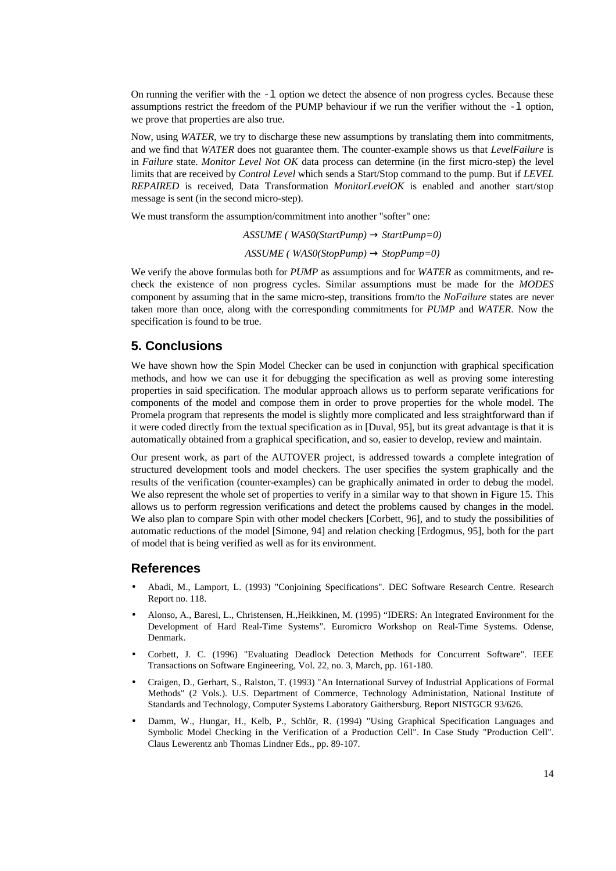On running the verifier with the  $-1$  option we detect the absence of non progress cycles. Because these assumptions restrict the freedom of the PUMP behaviour if we run the verifier without the  $-1$  option, we prove that properties are also true.

Now, using *WATER*, we try to discharge these new assumptions by translating them into commitments, and we find that *WATER* does not guarantee them. The counter-example shows us that *LevelFailure* is in *Failure* state. *Monitor Level Not OK* data process can determine (in the first micro-step) the level limits that are received by *Control Level* which sends a Start/Stop command to the pump. But if *LEVEL REPAIRED* is received, Data Transformation *MonitorLevelOK* is enabled and another start/stop message is sent (in the second micro-step).

We must transform the assumption/commitment into another "softer" one:

*ASSUME ( WAS0(StartPump)* → *StartPump=0)*  $ASSUME$  ( $WASO(StopPump) \rightarrow StopPump=0$ )

We verify the above formulas both for *PUMP* as assumptions and for *WATER* as commitments, and recheck the existence of non progress cycles. Similar assumptions must be made for the *MODES* component by assuming that in the same micro-step, transitions from/to the *NoFailure* states are never taken more than once, along with the corresponding commitments for *PUMP* and *WATER*. Now the specification is found to be true.

# **5. Conclusions**

We have shown how the Spin Model Checker can be used in conjunction with graphical specification methods, and how we can use it for debugging the specification as well as proving some interesting properties in said specification. The modular approach allows us to perform separate verifications for components of the model and compose them in order to prove properties for the whole model. The Promela program that represents the model is slightly more complicated and less straightforward than if it were coded directly from the textual specification as in [Duval, 95], but its great advantage is that it is automatically obtained from a graphical specification, and so, easier to develop, review and maintain.

Our present work, as part of the AUTOVER project, is addressed towards a complete integration of structured development tools and model checkers. The user specifies the system graphically and the results of the verification (counter-examples) can be graphically animated in order to debug the model. We also represent the whole set of properties to verify in a similar way to that shown in Figure 15. This allows us to perform regression verifications and detect the problems caused by changes in the model. We also plan to compare Spin with other model checkers [Corbett, 96], and to study the possibilities of automatic reductions of the model [Simone, 94] and relation checking [Erdogmus, 95], both for the part of model that is being verified as well as for its environment.

## **References**

- Abadi, M., Lamport, L. (1993) "Conjoining Specifications". DEC Software Research Centre. Research Report no. 118.
- Alonso, A., Baresi, L., Christensen, H.,Heikkinen, M. (1995) "IDERS: An Integrated Environment for the Development of Hard Real-Time Systems". Euromicro Workshop on Real-Time Systems. Odense, Denmark.
- Corbett, J. C. (1996) "Evaluating Deadlock Detection Methods for Concurrent Software". IEEE Transactions on Software Engineering, Vol. 22, no. 3, March, pp. 161-180.
- Craigen, D., Gerhart, S., Ralston, T. (1993) "An International Survey of Industrial Applications of Formal Methods" (2 Vols.). U.S. Department of Commerce, Technology Administation, National Institute of Standards and Technology, Computer Systems Laboratory Gaithersburg. Report NISTGCR 93/626.
- Damm, W., Hungar, H., Kelb, P., Schlör, R. (1994) "Using Graphical Specification Languages and Symbolic Model Checking in the Verification of a Production Cell". In Case Study "Production Cell". Claus Lewerentz anb Thomas Lindner Eds., pp. 89-107.